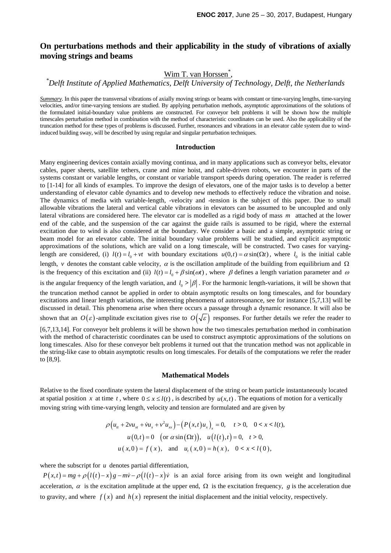## **On perturbations methods and their applicability in the study of vibrations of axially moving strings and beams**

# Wim T. van Horssen\* , *\* Delft Institute of Applied Mathematics, Delft University of Technology, Delft, the Netherlands*

*Summary*. In this paper the transversal vibrations of axially moving strings or beams with constant or time-varying lengths, time-varying velocities, and/or time-varying tensions are studied. By applying perturbation methods, asymptotic approximations of the solutions of the formulated initial-boundary value problems are constructed. For conveyor belt problems it will be shown how the multiple timescales perturbation method in combination with the method of characteristic coordinates can be used. Also the applicability of the truncation method for these types of problems is discussed. Further, resonances and vibrations in an elevator cable system due to windinduced building sway, will be described by using regular and singular perturbation techniques.

#### **Introduction**

Many engineering devices contain axially moving continua, and in many applications such as conveyor belts, elevator cables, paper sheets, satellite tethers, crane and mine hoist, and cable-driven robots, we encounter in parts of the systems constant or variable lengths, or constant or variable transport speeds during operation. The reader is referred to [1-14] for all kinds of examples. To improve the design of elevators, one of the major tasks is to develop a better understanding of elevator cable dynamics and to develop new methods to effectively reduce the vibration and noise. The dynamics of media with variable-length, -velocity and -tension is the subject of this paper. Due to small allowable vibrations the lateral and vertical cable vibrations in elevators can be assumed to be uncoupled and only lateral vibrations are considered here. The elevator car is modelled as a rigid body of mass *m* attached at the lower end of the cable, and the suspension of the car against the guide rails is assumed to be rigid, where the external excitation due to wind is also considered at the boundary. We consider a basic and a simple, asymptotic string or beam model for an elevator cable. The initial boundary value problems will be studied, and explicit asymptotic approximations of the solutions, which are valid on a long timescale, will be constructed. Two cases for varyinglength are considered, (i)  $l(t) = l_0 + vt$  with boundary excitations  $u(0, t) = \alpha \sin(\Omega t)$ , where  $l_0$  is the initial cable length, *v* denotes the constant cable velocity,  $\alpha$  is the oscillation amplitude of the building from equilibrium and  $\Omega$ is the frequency of this excitation and (ii)  $l(t) = l_0 + \beta \sin(\omega t)$ , where  $\beta$  defines a length variation parameter and  $\omega$ is the angular frequency of the length variation, and  $l_0 > |\beta|$ . For the harmonic length-variations, it will be shown that the truncation method cannot be applied in order to obtain asymptotic results on long timescales, and for boundary excitations and linear length variations, the interesting phenomena of autoresonance, see for instance [5,7,13] will be discussed in detail. This phenomena arise when there occurs a passage through a dynamic resonance. It will also be shown that an  $O(\varepsilon)$ -amplitude excitation gives rise to  $O(\sqrt{\varepsilon})$  responses. For further details we refer the reader to

[6,7,13,14]. For conveyor belt problems it will be shown how the two timescales perturbation method in combination with the method of characteristic coordinates can be used to construct asymptotic approximations of the solutions on long timescales. Also for these conveyor belt problems it turned out that the truncation method was not applicable in the string-like case to obtain asymptotic results on long timescales. For details of the computations we refer the reader to [8,9].

#### **Mathematical Models**

Relative to the fixed coordinate system the lateral displacement of the string or beam particle instantaneously located at spatial position *x* at time *t*, where  $0 \le x \le l(t)$ , is described by  $u(x,t)$ . The equations of motion for a vertically moving string with time-varying length, velocity and tension are formulated and are given by

$$
\rho\left(u_{tt} + 2vu_{xt} + \dot{v}u_{xx} + v^2u_{xx}\right) - \left(P(x,t)u_{x}\right)_{x} = 0, \quad t > 0, \quad 0 < x < l(t),
$$
  
\n
$$
u(0,t) = 0 \quad \text{(or } \alpha \sin(\Omega t)), \quad u(l(t),t) = 0, \quad t > 0,
$$
  
\n
$$
u(x,0) = f(x), \quad \text{and} \quad u_{t}(x,0) = h(x), \quad 0 < x < l(0),
$$

where the subscript for *u* denotes partial differentiation,

 $P(x,t) = mg + \rho (l(t) - x)g - m\dot{v} - \rho (l(t) - x)\dot{v}$  is an axial force arising from its own weight and longitudinal acceleration,  $\alpha$  is the excitation amplitude at the upper end,  $\Omega$  is the excitation frequency, *g* is the acceleration due to gravity, and where  $f(x)$  and  $h(x)$  represent the initial displacement and the initial velocity, respectively.